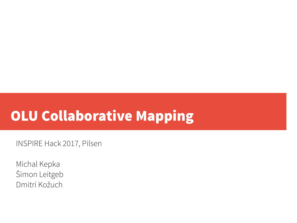# OLU Collaborative Mapping

INSPIRE Hack 2017, Pilsen

Michal Kepka Šimon Leitgeb Dmitri Kožuch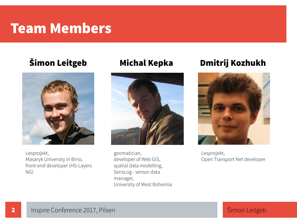#### Team Members

#### Šimon Leitgeb



Lesprojekt, Masaryk University in Brno, front-end developer (HS-Layers NG)

#### Michal Kepka



geomatician, developer of Web GIS, spatial data modelling, SensLog - sensor data manager, University of West Bohemia

#### Dmitrij Kozhukh



Lesprojekt, Open Transport Net developer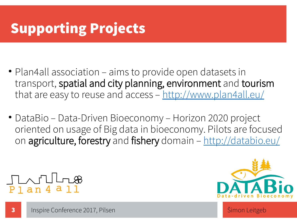# Supporting Projects

- Plan4all association aims to provide open datasets in transport, spatial and city planning, environment and tourism that are easy to reuse and access -<http://www.plan4all.eu/>
- DataBio Data-Driven Bioeconomy Horizon 2020 project oriented on usage of Big data in bioeconomy. Pilots are focused on agriculture, forestry and fishery domain -<http://databio.eu/>

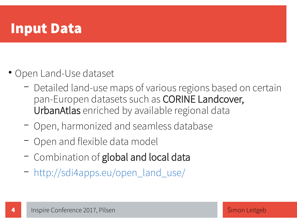#### Input Data

- Open Land-Use dataset
	- Detailed land-use maps of various regions based on certain pan-Europen datasets such as CORINE Landcover, UrbanAtlas enriched by available regional data
	- Open, harmonized and seamless database
	- Open and flexible data model
	- Combination of global and local data
	- [http://sdi4apps.eu/open\\_land\\_use/](http://sdi4apps.eu/open_land_use/)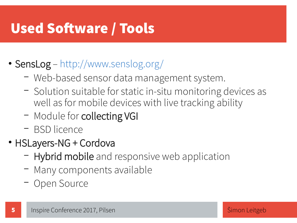## Used Software / Tools

#### • **SensLog** – <http://www.senslog.org/>

- Web-based sensor data management system.
- Solution suitable for static in-situ monitoring devices as well as for mobile devices with live tracking ability
- Module for collecting VGI
- BSD licence
- HSLayers-NG + Cordova
	- Hybrid mobile and responsive web application
	- Many components available
	- Open Source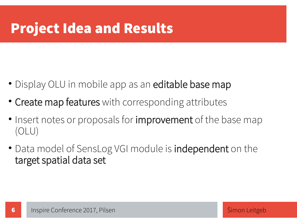## Project Idea and Results

- Display OLU in mobile app as an **editable base map**
- Create map features with corresponding attributes
- Insert notes or proposals for **improvement** of the base map (OLU)
- Data model of SensLog VGI module is **independent** on the target spatial data set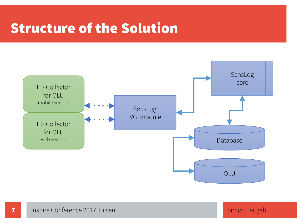#### Structure of the Solution

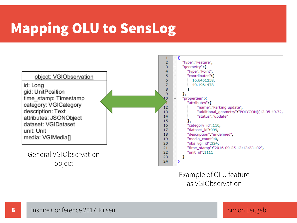### Mapping OLU to SensLog



Example of OLU feature as VGIObservation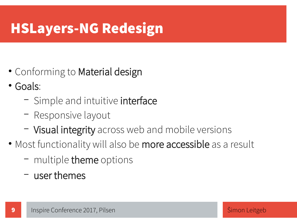## HSLayers-NG Redesign

- Conforming to Material design
- Goals:

- Simple and intuitive interface
- Responsive layout
- Visual integrity across web and mobile versions
- Most functionality will also be more accessible as a result
	- multiple theme options
	- user themes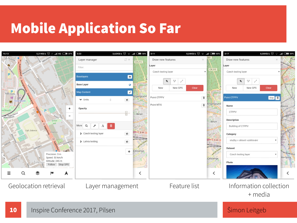#### Mobile Application So Far



10 Inspire Conference 2017, Pilsen State Conference 2017, Pilsen State Schwarzen State Simon Leitgeb